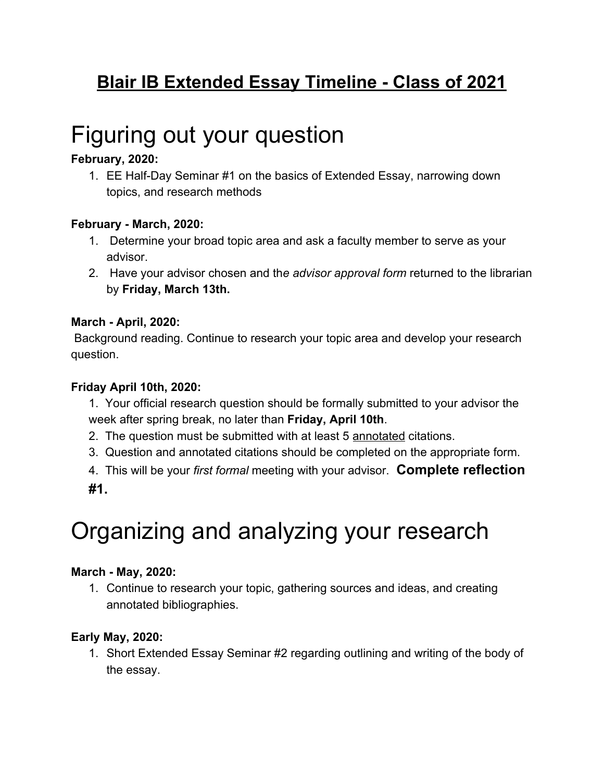### **Blair IB Extended Essay Timeline - Class of 2021**

# Figuring out your question

#### **February, 2020:**

1. EE Half-Day Seminar #1 on the basics of Extended Essay, narrowing down topics, and research methods

#### **February - March, 2020:**

- 1. Determine your broad topic area and ask a faculty member to serve as your advisor.
- 2. Have your advisor chosen and th*e advisor approval form* returned to the librarian by **Friday, March 13th.**

#### **March - April, 2020:**

 Background reading. Continue to research your topic area and develop your research question.

#### **Friday April 10th, 2020:**

- 1. Your official research question should be formally submitted to your advisor the week after spring break, no later than **Friday, April 10th**.
- 2. The question must be submitted with at least 5 annotated citations.
- 3. Question and annotated citations should be completed on the appropriate form.

4. This will be your *first formal* meeting with your advisor. **Complete reflection #1.**

# Organizing and analyzing your research

#### **March - May, 2020:**

1. Continue to research your topic, gathering sources and ideas, and creating annotated bibliographies.

#### **Early May, 2020:**

1. Short Extended Essay Seminar #2 regarding outlining and writing of the body of the essay.